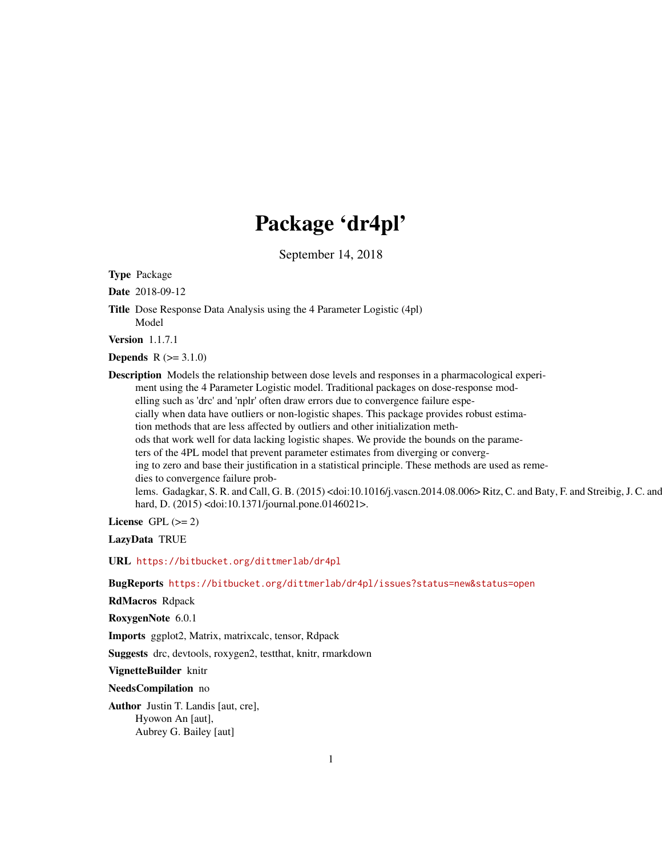# Package 'dr4pl'

September 14, 2018

<span id="page-0-0"></span>Type Package

Date 2018-09-12

Title Dose Response Data Analysis using the 4 Parameter Logistic (4pl) Model

Version 1.1.7.1

**Depends**  $R (= 3.1.0)$ 

Description Models the relationship between dose levels and responses in a pharmacological experiment using the 4 Parameter Logistic model. Traditional packages on dose-response modelling such as 'drc' and 'nplr' often draw errors due to convergence failure especially when data have outliers or non-logistic shapes. This package provides robust estimation methods that are less affected by outliers and other initialization methods that work well for data lacking logistic shapes. We provide the bounds on the parameters of the 4PL model that prevent parameter estimates from diverging or converging to zero and base their justification in a statistical principle. These methods are used as remedies to convergence failure problems. Gadagkar, S. R. and Call, G. B. (2015) <doi:10.1016/j.vascn.2014.08.006> Ritz, C. and Baty, F. and Streibig, J. C. and hard, D. (2015) <doi:10.1371/journal.pone.0146021>.

License GPL  $(>= 2)$ 

LazyData TRUE

URL <https://bitbucket.org/dittmerlab/dr4pl>

BugReports <https://bitbucket.org/dittmerlab/dr4pl/issues?status=new&status=open>

RdMacros Rdpack

RoxygenNote 6.0.1

Imports ggplot2, Matrix, matrixcalc, tensor, Rdpack

Suggests drc, devtools, roxygen2, testthat, knitr, rmarkdown

VignetteBuilder knitr

NeedsCompilation no

Author Justin T. Landis [aut, cre], Hyowon An [aut], Aubrey G. Bailey [aut]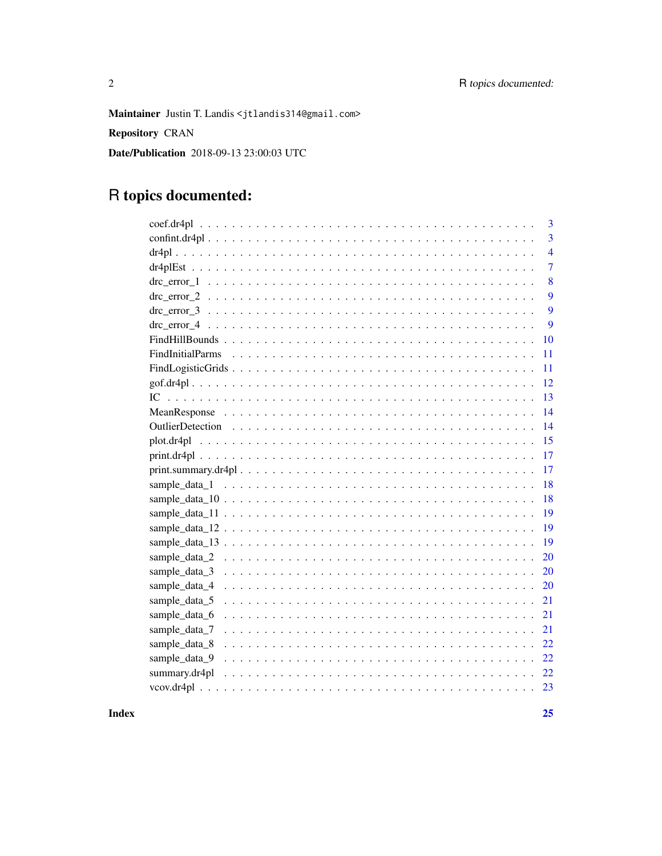Maintainer Justin T. Landis <jtlandis314@gmail.com>

Repository CRAN

Date/Publication 2018-09-13 23:00:03 UTC

# R topics documented:

| 3                   |
|---------------------|
| $\overline{3}$      |
| $\overline{4}$      |
| $\overline{7}$      |
| 8                   |
| 9                   |
| 9                   |
| 9                   |
| 10                  |
| 11                  |
| 11                  |
| 12                  |
| 13                  |
| 14                  |
| 14                  |
| 15                  |
| 17                  |
| 17                  |
| 18                  |
| 18                  |
| 19                  |
| 19                  |
| 19                  |
| 20                  |
| sample_data_3<br>20 |
| sample_data_4<br>20 |
| sample_data_5<br>21 |
| sample_data_6<br>21 |
| sample_data_7<br>21 |
| sample_data_8<br>22 |
| sample_data_9<br>22 |
| summary.dr4pl<br>22 |
|                     |
|                     |

**Index**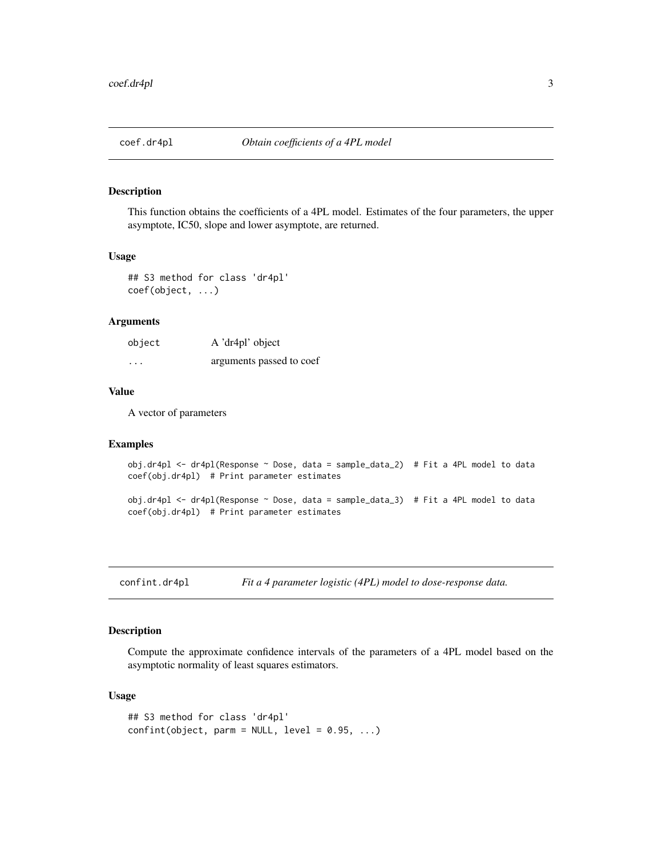<span id="page-2-0"></span>

This function obtains the coefficients of a 4PL model. Estimates of the four parameters, the upper asymptote, IC50, slope and lower asymptote, are returned.

#### Usage

## S3 method for class 'dr4pl' coef(object, ...)

# Arguments

| object   | A 'dr4pl' object         |
|----------|--------------------------|
| $\cdots$ | arguments passed to coef |

# Value

A vector of parameters

#### Examples

```
obj.dr4pl <- dr4pl(Response ~ Dose, data = sample_data_2) # Fit a 4PL model to data
coef(obj.dr4pl) # Print parameter estimates
```

```
obj.dr4pl <- dr4pl(Response ~ Dose, data = sample_data_3) # Fit a 4PL model to data
coef(obj.dr4pl) # Print parameter estimates
```
<span id="page-2-1"></span>confint.dr4pl *Fit a 4 parameter logistic (4PL) model to dose-response data.*

# Description

Compute the approximate confidence intervals of the parameters of a 4PL model based on the asymptotic normality of least squares estimators.

#### Usage

```
## S3 method for class 'dr4pl'
confint(object, parm = NULL, level = 0.95, ...)
```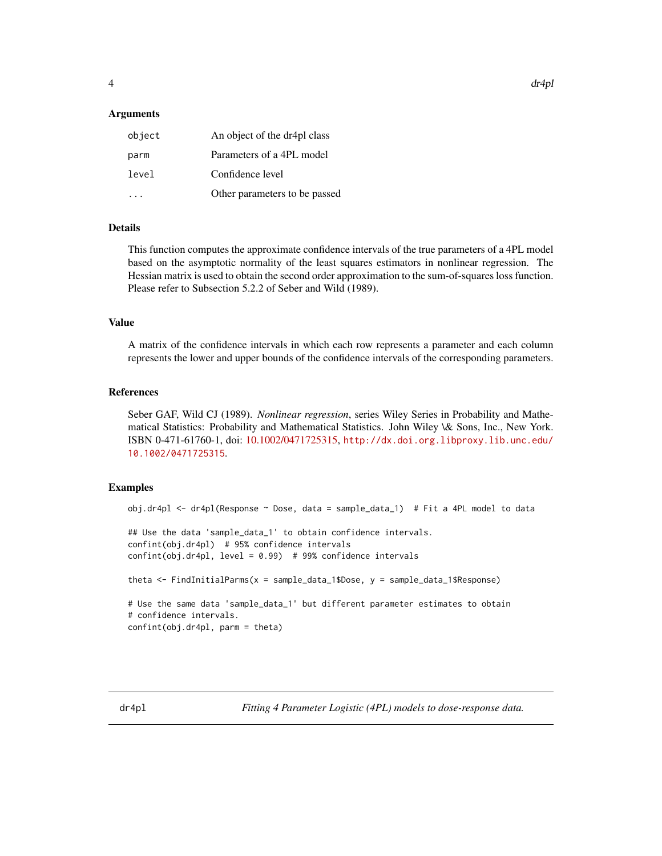# <span id="page-3-0"></span>Arguments

| object | An object of the dr4pl class  |
|--------|-------------------------------|
| parm   | Parameters of a 4PL model     |
| level  | Confidence level              |
|        | Other parameters to be passed |

# Details

This function computes the approximate confidence intervals of the true parameters of a 4PL model based on the asymptotic normality of the least squares estimators in nonlinear regression. The Hessian matrix is used to obtain the second order approximation to the sum-of-squares loss function. Please refer to Subsection 5.2.2 of Seber and Wild (1989).

# Value

A matrix of the confidence intervals in which each row represents a parameter and each column represents the lower and upper bounds of the confidence intervals of the corresponding parameters.

# References

Seber GAF, Wild CJ (1989). *Nonlinear regression*, series Wiley Series in Probability and Mathematical Statistics: Probability and Mathematical Statistics. John Wiley \& Sons, Inc., New York. ISBN 0-471-61760-1, doi: [10.1002/0471725315,](http://doi.org/10.1002/0471725315) [http://dx.doi.org.libproxy.lib.unc.edu/](http://dx.doi.org.libproxy.lib.unc.edu/10.1002/0471725315) [10.1002/0471725315](http://dx.doi.org.libproxy.lib.unc.edu/10.1002/0471725315).

# Examples

```
obj.dr4pl <- dr4pl(Response ~ Dose, data = sample_data_1) # Fit a 4PL model to data
## Use the data 'sample_data_1' to obtain confidence intervals.
confint(obj.dr4pl) # 95% confidence intervals
confint(obj.dr4pl, level = 0.99) # 99% confidence intervals
theta <- FindInitialParms(x = sample_data_1$Dose, y = sample_data_1$Response)
# Use the same data 'sample_data_1' but different parameter estimates to obtain
# confidence intervals.
confint(obj.dr4pl, parm = theta)
```
<span id="page-3-2"></span><span id="page-3-1"></span>dr4pl *Fitting 4 Parameter Logistic (4PL) models to dose-response data.*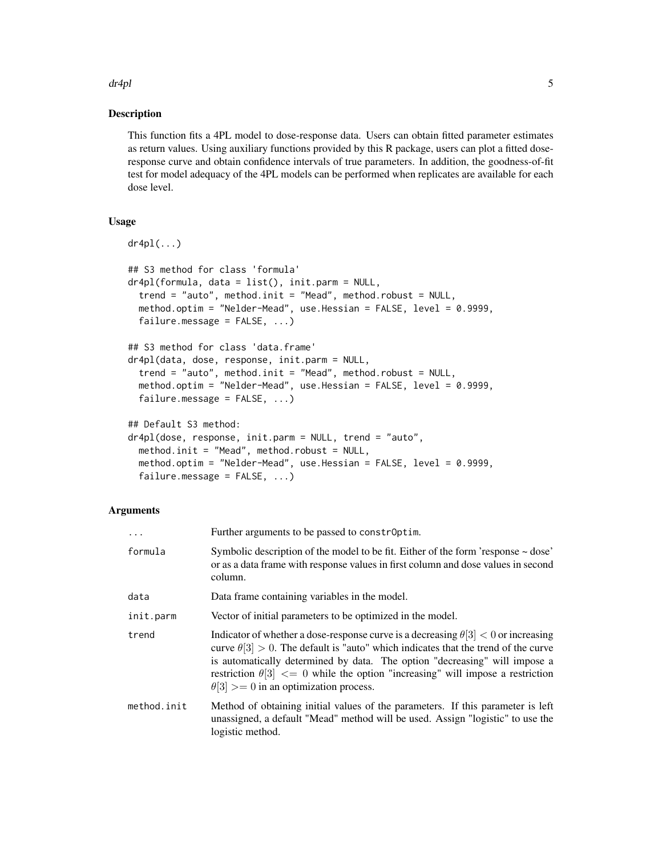$d$ r $4$ pl  $5$ 

#### Description

This function fits a 4PL model to dose-response data. Users can obtain fitted parameter estimates as return values. Using auxiliary functions provided by this R package, users can plot a fitted doseresponse curve and obtain confidence intervals of true parameters. In addition, the goodness-of-fit test for model adequacy of the 4PL models can be performed when replicates are available for each dose level.

#### Usage

```
dr4p1(\ldots)## S3 method for class 'formula'
dr4pl(formula, data = list(), init.parm = NULL,
  trend = "auto", method.init = "Mead", method.robust = NULL,
  method.optim = "Nelder-Mead", use.Hessian = FALSE, level = 0.9999,
  failure.message = FALSE, ...)
## S3 method for class 'data.frame'
dr4pl(data, dose, response, init.parm = NULL,
  trend = "auto", method.init = "Mead", method.robust = NULL,
  method.optim = "Nelder-Mead", use.Hessian = FALSE, level = 0.9999,
  failure.message = FALSE, ...)## Default S3 method:
dr4pl(dose, response, init.parm = NULL, trend = "auto",
  method.init = "Mead", method.robust = NULL,
  method.optim = "Nelder-Mead", use.Hessian = FALSE, level = 0.9999,
  failure.message = FALSE, ...)
```

| $\ddots$ .  | Further arguments to be passed to constrOptim.                                                                                                                                                                                                                                                                                                                                                                |
|-------------|---------------------------------------------------------------------------------------------------------------------------------------------------------------------------------------------------------------------------------------------------------------------------------------------------------------------------------------------------------------------------------------------------------------|
| formula     | Symbolic description of the model to be fit. Either of the form 'response $\sim$ dose'<br>or as a data frame with response values in first column and dose values in second<br>column.                                                                                                                                                                                                                        |
| data        | Data frame containing variables in the model.                                                                                                                                                                                                                                                                                                                                                                 |
| init.parm   | Vector of initial parameters to be optimized in the model.                                                                                                                                                                                                                                                                                                                                                    |
| trend       | Indicator of whether a dose-response curve is a decreasing $\theta[3] < 0$ or increasing<br>curve $\theta[3] > 0$ . The default is "auto" which indicates that the trend of the curve<br>is automatically determined by data. The option "decreasing" will impose a<br>restriction $\theta[3] \leq 0$ while the option "increasing" will impose a restriction<br>$\theta[3] >= 0$ in an optimization process. |
| method.init | Method of obtaining initial values of the parameters. If this parameter is left<br>unassigned, a default "Mead" method will be used. Assign "logistic" to use the<br>logistic method.                                                                                                                                                                                                                         |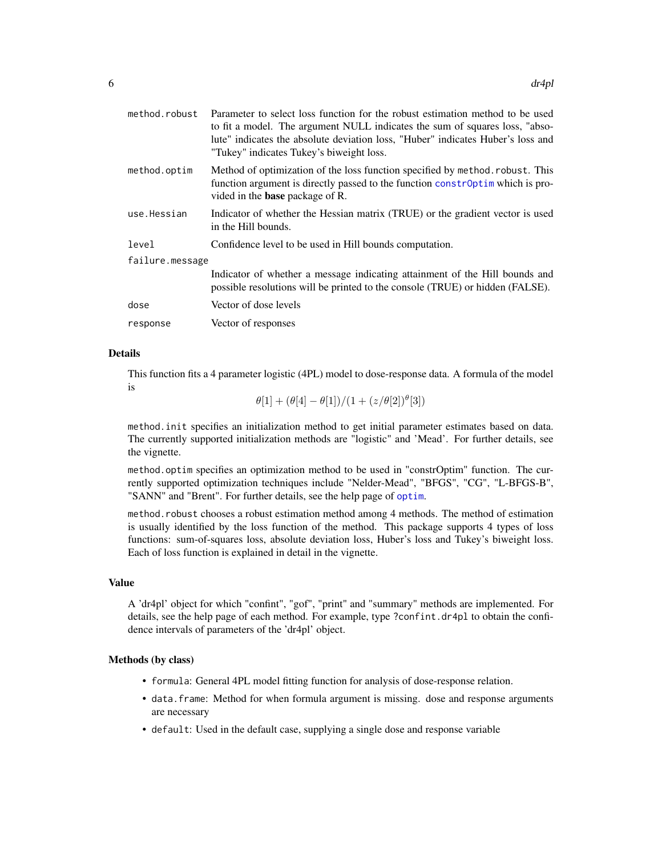<span id="page-5-0"></span>

| method.robust   | Parameter to select loss function for the robust estimation method to be used<br>to fit a model. The argument NULL indicates the sum of squares loss, "abso-<br>lute" indicates the absolute deviation loss, "Huber" indicates Huber's loss and<br>"Tukey" indicates Tukey's biweight loss. |
|-----------------|---------------------------------------------------------------------------------------------------------------------------------------------------------------------------------------------------------------------------------------------------------------------------------------------|
| method.optim    | Method of optimization of the loss function specified by method. robust. This<br>function argument is directly passed to the function constrOptim which is pro-<br>vided in the <b>base</b> package of R.                                                                                   |
| use.Hessian     | Indicator of whether the Hessian matrix (TRUE) or the gradient vector is used<br>in the Hill bounds.                                                                                                                                                                                        |
| level           | Confidence level to be used in Hill bounds computation.                                                                                                                                                                                                                                     |
| failure.message |                                                                                                                                                                                                                                                                                             |
|                 | Indicator of whether a message indicating attainment of the Hill bounds and<br>possible resolutions will be printed to the console (TRUE) or hidden (FALSE).                                                                                                                                |
| dose            | Vector of dose levels                                                                                                                                                                                                                                                                       |
| response        | Vector of responses                                                                                                                                                                                                                                                                         |
|                 |                                                                                                                                                                                                                                                                                             |

# Details

This function fits a 4 parameter logistic (4PL) model to dose-response data. A formula of the model is

 $\theta[1] + (\theta[4] - \theta[1])/ (1 + (z/\theta[2])^{\theta}[3])$ 

method.init specifies an initialization method to get initial parameter estimates based on data. The currently supported initialization methods are "logistic" and 'Mead'. For further details, see the vignette.

method.optim specifies an optimization method to be used in "constrOptim" function. The currently supported optimization techniques include "Nelder-Mead", "BFGS", "CG", "L-BFGS-B", "SANN" and "Brent". For further details, see the help page of [optim](#page-0-0).

method.robust chooses a robust estimation method among 4 methods. The method of estimation is usually identified by the loss function of the method. This package supports 4 types of loss functions: sum-of-squares loss, absolute deviation loss, Huber's loss and Tukey's biweight loss. Each of loss function is explained in detail in the vignette.

# Value

A 'dr4pl' object for which "confint", "gof", "print" and "summary" methods are implemented. For details, see the help page of each method. For example, type ?confint.dr4pl to obtain the confidence intervals of parameters of the 'dr4pl' object.

#### Methods (by class)

- formula: General 4PL model fitting function for analysis of dose-response relation.
- data.frame: Method for when formula argument is missing. dose and response arguments are necessary
- default: Used in the default case, supplying a single dose and response variable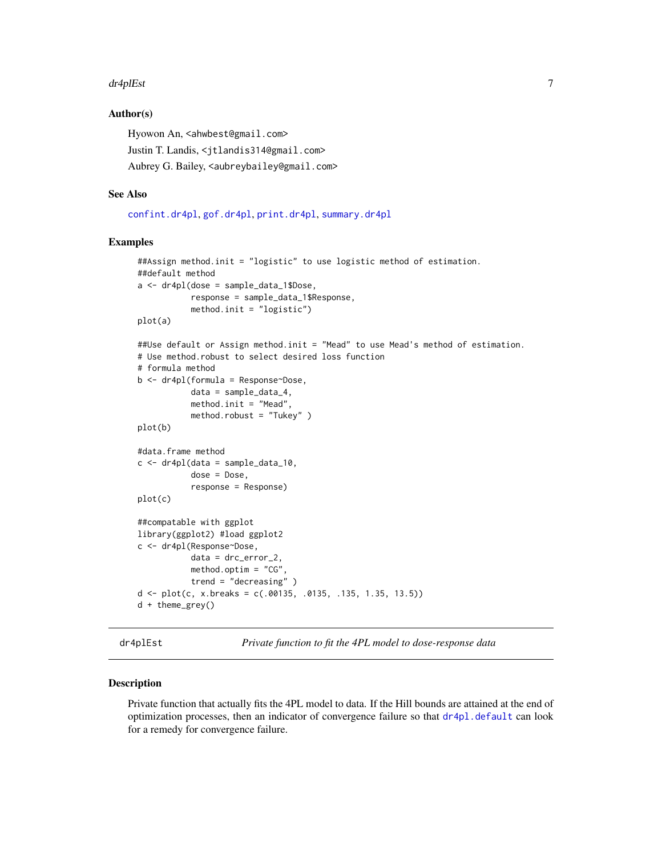#### <span id="page-6-0"></span>dr4plEst 7

# Author(s)

Hyowon An, <ahwbest@gmail.com> Justin T. Landis, <jtlandis314@gmail.com> Aubrey G. Bailey, <aubreybailey@gmail.com>

# See Also

[confint.dr4pl](#page-2-1), [gof.dr4pl](#page-11-1), [print.dr4pl](#page-16-1), [summary.dr4pl](#page-21-1)

# Examples

```
##Assign method.init = "logistic" to use logistic method of estimation.
##default method
a <- dr4pl(dose = sample_data_1$Dose,
           response = sample_data_1$Response,
           method.init = "logistic")
plot(a)
##Use default or Assign method.init = "Mead" to use Mead's method of estimation.
# Use method.robust to select desired loss function
# formula method
b <- dr4pl(formula = Response~Dose,
           data = sample_data_4,
           method.init = "Mead",
           method.robust = "Tukey" )
plot(b)
#data.frame method
c <- dr4pl(data = sample_data_10,
           dose = Dose,
           response = Response)
plot(c)
##compatable with ggplot
library(ggplot2) #load ggplot2
c <- dr4pl(Response~Dose,
           data = drc_error_2,
           method.optim = "CG",
           trend = "decreasing" )
d <- plot(c, x.breaks = c(.00135, .0135, .135, 1.35, 13.5))
d + theme_grey()
```
dr4plEst *Private function to fit the 4PL model to dose-response data*

# Description

Private function that actually fits the 4PL model to data. If the Hill bounds are attained at the end of optimization processes, then an indicator of convergence failure so that  $d\mathbf{r}$ <sup>4</sup> $p$ l.default can look for a remedy for convergence failure.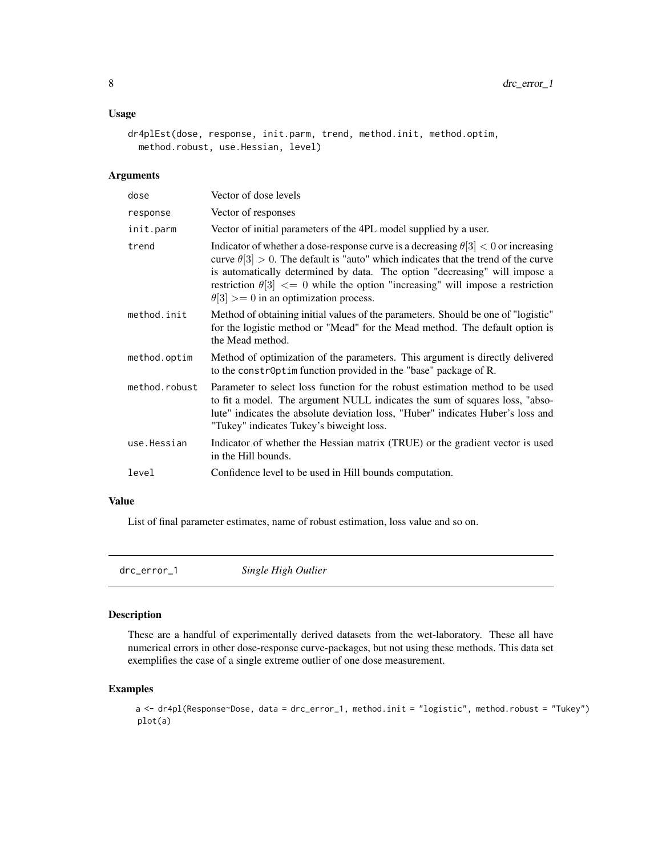# <span id="page-7-0"></span>Usage

```
dr4plEst(dose, response, init.parm, trend, method.init, method.optim,
 method.robust, use.Hessian, level)
```
# Arguments

| dose          | Vector of dose levels                                                                                                                                                                                                                                                                                                                                                                                         |
|---------------|---------------------------------------------------------------------------------------------------------------------------------------------------------------------------------------------------------------------------------------------------------------------------------------------------------------------------------------------------------------------------------------------------------------|
| response      | Vector of responses                                                                                                                                                                                                                                                                                                                                                                                           |
| init.parm     | Vector of initial parameters of the 4PL model supplied by a user.                                                                                                                                                                                                                                                                                                                                             |
| trend         | Indicator of whether a dose-response curve is a decreasing $\theta[3] < 0$ or increasing<br>curve $\theta[3] > 0$ . The default is "auto" which indicates that the trend of the curve<br>is automatically determined by data. The option "decreasing" will impose a<br>restriction $\theta[3] \leq 0$ while the option "increasing" will impose a restriction<br>$\theta[3] >= 0$ in an optimization process. |
| method.init   | Method of obtaining initial values of the parameters. Should be one of "logistic"<br>for the logistic method or "Mead" for the Mead method. The default option is<br>the Mead method.                                                                                                                                                                                                                         |
| method.optim  | Method of optimization of the parameters. This argument is directly delivered<br>to the constr0ptim function provided in the "base" package of R.                                                                                                                                                                                                                                                             |
| method.robust | Parameter to select loss function for the robust estimation method to be used<br>to fit a model. The argument NULL indicates the sum of squares loss, "abso-<br>lute" indicates the absolute deviation loss, "Huber" indicates Huber's loss and<br>"Tukey" indicates Tukey's biweight loss.                                                                                                                   |
| use.Hessian   | Indicator of whether the Hessian matrix (TRUE) or the gradient vector is used<br>in the Hill bounds.                                                                                                                                                                                                                                                                                                          |
| level         | Confidence level to be used in Hill bounds computation.                                                                                                                                                                                                                                                                                                                                                       |

# Value

List of final parameter estimates, name of robust estimation, loss value and so on.

drc\_error\_1 *Single High Outlier*

# Description

These are a handful of experimentally derived datasets from the wet-laboratory. These all have numerical errors in other dose-response curve-packages, but not using these methods. This data set exemplifies the case of a single extreme outlier of one dose measurement.

# Examples

a <- dr4pl(Response~Dose, data = drc\_error\_1, method.init = "logistic", method.robust = "Tukey") plot(a)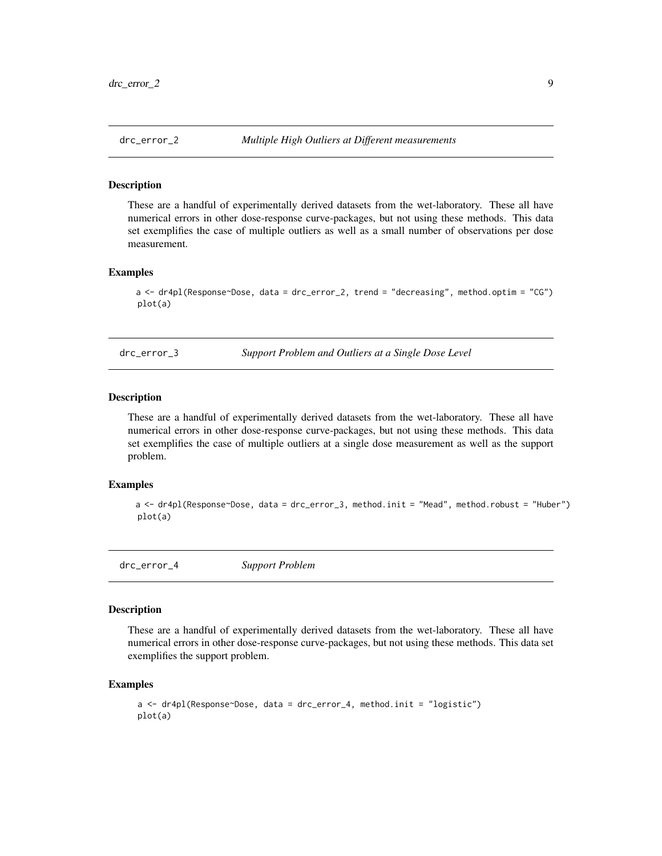<span id="page-8-0"></span>

These are a handful of experimentally derived datasets from the wet-laboratory. These all have numerical errors in other dose-response curve-packages, but not using these methods. This data set exemplifies the case of multiple outliers as well as a small number of observations per dose measurement.

#### Examples

```
a <- dr4pl(Response~Dose, data = drc_error_2, trend = "decreasing", method.optim = "CG")
plot(a)
```
drc\_error\_3 *Support Problem and Outliers at a Single Dose Level*

# Description

These are a handful of experimentally derived datasets from the wet-laboratory. These all have numerical errors in other dose-response curve-packages, but not using these methods. This data set exemplifies the case of multiple outliers at a single dose measurement as well as the support problem.

# Examples

```
a <- dr4pl(Response~Dose, data = drc_error_3, method.init = "Mead", method.robust = "Huber")
plot(a)
```
drc\_error\_4 *Support Problem*

# Description

These are a handful of experimentally derived datasets from the wet-laboratory. These all have numerical errors in other dose-response curve-packages, but not using these methods. This data set exemplifies the support problem.

```
a \leq dr4pl(Response~Dose, data = drc_error_4, method.init = "logistic")
plot(a)
```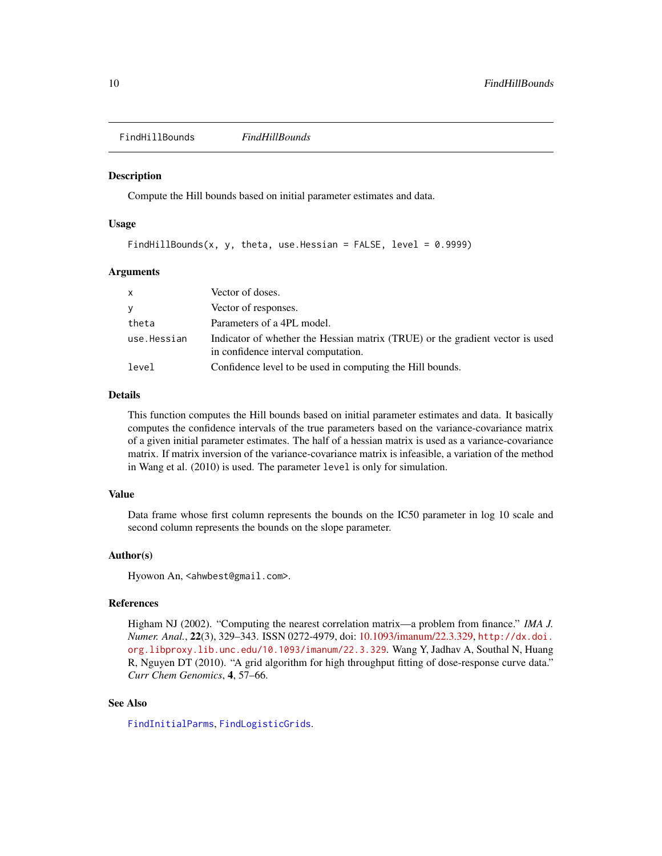<span id="page-9-0"></span>FindHillBounds *FindHillBounds*

#### Description

Compute the Hill bounds based on initial parameter estimates and data.

# Usage

```
FindHillBounds(x, y, theta, use.Hessian = FALSE, level = 0.9999)
```
#### Arguments

| X           | Vector of doses.                                                                                                     |
|-------------|----------------------------------------------------------------------------------------------------------------------|
| y           | Vector of responses.                                                                                                 |
| theta       | Parameters of a 4PL model.                                                                                           |
| use.Hessian | Indicator of whether the Hessian matrix (TRUE) or the gradient vector is used<br>in confidence interval computation. |
| level       | Confidence level to be used in computing the Hill bounds.                                                            |

# Details

This function computes the Hill bounds based on initial parameter estimates and data. It basically computes the confidence intervals of the true parameters based on the variance-covariance matrix of a given initial parameter estimates. The half of a hessian matrix is used as a variance-covariance matrix. If matrix inversion of the variance-covariance matrix is infeasible, a variation of the method in Wang et al. (2010) is used. The parameter level is only for simulation.

# Value

Data frame whose first column represents the bounds on the IC50 parameter in log 10 scale and second column represents the bounds on the slope parameter.

#### Author(s)

Hyowon An, <ahwbest@gmail.com>.

#### References

Higham NJ (2002). "Computing the nearest correlation matrix—a problem from finance." *IMA J. Numer. Anal.*, 22(3), 329–343. ISSN 0272-4979, doi: [10.1093/imanum/22.3.329,](http://doi.org/10.1093/imanum/22.3.329) [http://dx.doi.](http://dx.doi.org.libproxy.lib.unc.edu/10.1093/imanum/22.3.329) [org.libproxy.lib.unc.edu/10.1093/imanum/22.3.329](http://dx.doi.org.libproxy.lib.unc.edu/10.1093/imanum/22.3.329). Wang Y, Jadhav A, Southal N, Huang R, Nguyen DT (2010). "A grid algorithm for high throughput fitting of dose-response curve data." *Curr Chem Genomics*, 4, 57–66.

#### See Also

[FindInitialParms](#page-10-1), [FindLogisticGrids](#page-10-2).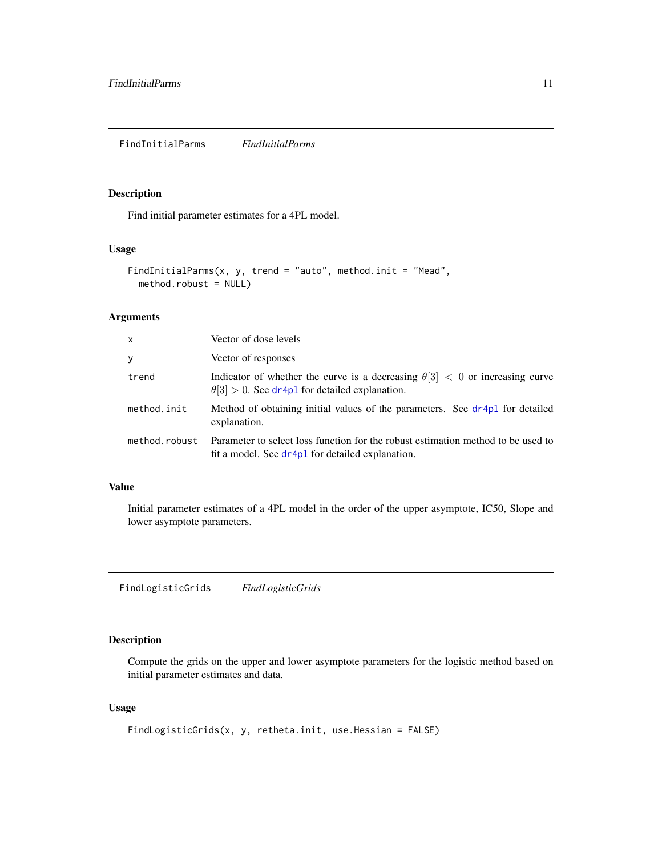<span id="page-10-1"></span><span id="page-10-0"></span>Find initial parameter estimates for a 4PL model.

# Usage

```
FindInitialParms(x, y, trend = "auto", method.init = "Mead",
 method.robust = NULL)
```
# Arguments

| $\mathsf{x}$  | Vector of dose levels                                                                                                                       |
|---------------|---------------------------------------------------------------------------------------------------------------------------------------------|
| y             | Vector of responses                                                                                                                         |
| trend         | Indicator of whether the curve is a decreasing $\theta[3] < 0$ or increasing curve<br>$\theta$ [3] > 0. See dr4p1 for detailed explanation. |
| method.init   | Method of obtaining initial values of the parameters. See dr4p1 for detailed<br>explanation.                                                |
| method.robust | Parameter to select loss function for the robust estimation method to be used to<br>fit a model. See dr4pl for detailed explanation.        |

#### Value

Initial parameter estimates of a 4PL model in the order of the upper asymptote, IC50, Slope and lower asymptote parameters.

<span id="page-10-2"></span>FindLogisticGrids *FindLogisticGrids*

# Description

Compute the grids on the upper and lower asymptote parameters for the logistic method based on initial parameter estimates and data.

# Usage

```
FindLogisticGrids(x, y, retheta.init, use.Hessian = FALSE)
```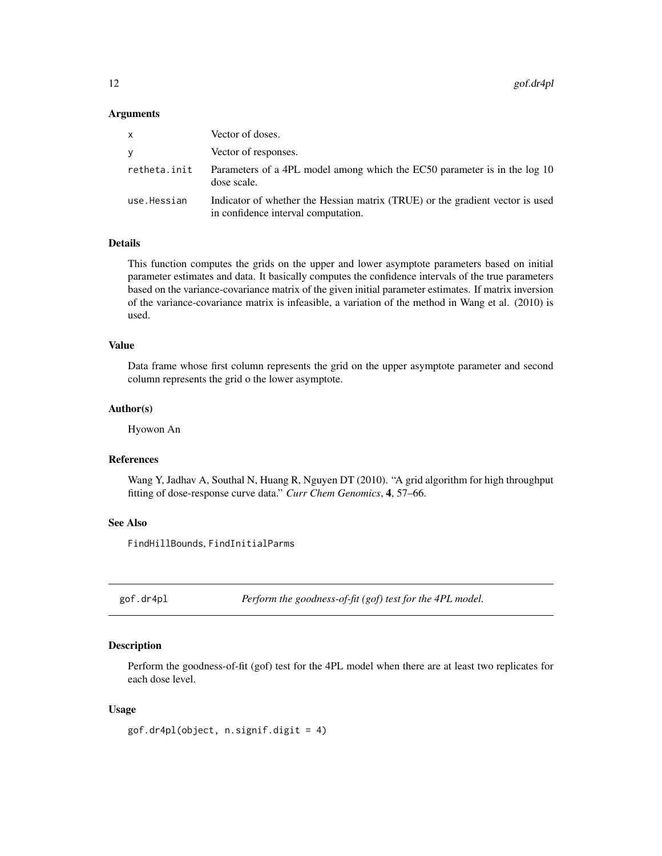#### <span id="page-11-0"></span>Arguments

| x            | Vector of doses.                                                                                                     |
|--------------|----------------------------------------------------------------------------------------------------------------------|
| V            | Vector of responses.                                                                                                 |
| retheta.init | Parameters of a 4PL model among which the EC50 parameter is in the log 10<br>dose scale.                             |
| use.Hessian  | Indicator of whether the Hessian matrix (TRUE) or the gradient vector is used<br>in confidence interval computation. |

# Details

This function computes the grids on the upper and lower asymptote parameters based on initial parameter estimates and data. It basically computes the confidence intervals of the true parameters based on the variance-covariance matrix of the given initial parameter estimates. If matrix inversion of the variance-covariance matrix is infeasible, a variation of the method in Wang et al. (2010) is used.

# Value

Data frame whose first column represents the grid on the upper asymptote parameter and second column represents the grid o the lower asymptote.

# Author(s)

Hyowon An

#### References

Wang Y, Jadhav A, Southal N, Huang R, Nguyen DT (2010). "A grid algorithm for high throughput fitting of dose-response curve data." *Curr Chem Genomics*, 4, 57–66.

# See Also

FindHillBounds, FindInitialParms

<span id="page-11-1"></span>gof.dr4pl *Perform the goodness-of-fit (gof) test for the 4PL model.*

# Description

Perform the goodness-of-fit (gof) test for the 4PL model when there are at least two replicates for each dose level.

#### Usage

```
gof.dr4pl(object, n.signif.digit = 4)
```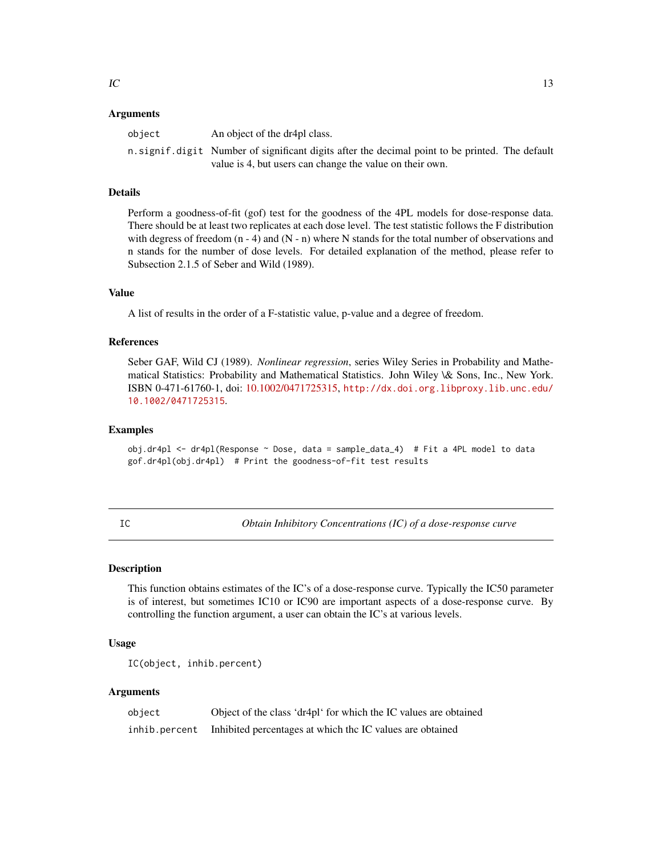#### <span id="page-12-0"></span>Arguments

| object | An object of the dr4pl class.                                                                                                                              |  |
|--------|------------------------------------------------------------------------------------------------------------------------------------------------------------|--|
|        | n signif digit Number of significant digits after the decimal point to be printed. The default<br>value is 4, but users can change the value on their own. |  |

# Details

Perform a goodness-of-fit (gof) test for the goodness of the 4PL models for dose-response data. There should be at least two replicates at each dose level. The test statistic follows the F distribution with degress of freedom  $(n - 4)$  and  $(N - n)$  where N stands for the total number of observations and n stands for the number of dose levels. For detailed explanation of the method, please refer to Subsection 2.1.5 of Seber and Wild (1989).

#### Value

A list of results in the order of a F-statistic value, p-value and a degree of freedom.

#### References

Seber GAF, Wild CJ (1989). *Nonlinear regression*, series Wiley Series in Probability and Mathematical Statistics: Probability and Mathematical Statistics. John Wiley \& Sons, Inc., New York. ISBN 0-471-61760-1, doi: [10.1002/0471725315,](http://doi.org/10.1002/0471725315) [http://dx.doi.org.libproxy.lib.unc.edu/](http://dx.doi.org.libproxy.lib.unc.edu/10.1002/0471725315) [10.1002/0471725315](http://dx.doi.org.libproxy.lib.unc.edu/10.1002/0471725315).

#### Examples

obj.dr4pl <- dr4pl(Response ~ Dose, data = sample\_data\_4) # Fit a 4PL model to data gof.dr4pl(obj.dr4pl) # Print the goodness-of-fit test results

IC *Obtain Inhibitory Concentrations (IC) of a dose-response curve*

#### Description

This function obtains estimates of the IC's of a dose-response curve. Typically the IC50 parameter is of interest, but sometimes IC10 or IC90 are important aspects of a dose-response curve. By controlling the function argument, a user can obtain the IC's at various levels.

# Usage

```
IC(object, inhib.percent)
```

| object        | Object of the class 'dr4pl' for which the IC values are obtained |
|---------------|------------------------------------------------------------------|
| inhib.percent | Inhibited percentages at which the IC values are obtained        |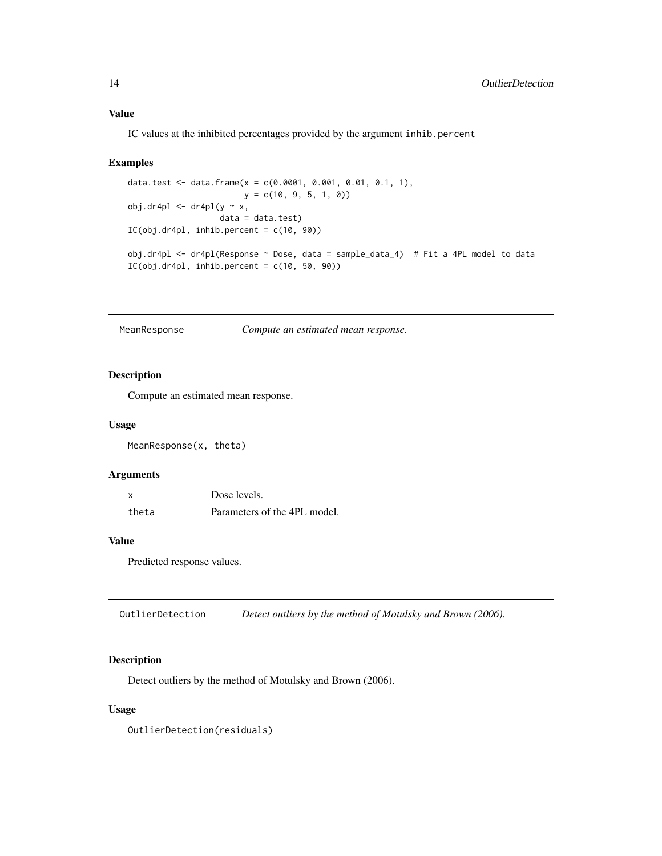IC values at the inhibited percentages provided by the argument inhib.percent

#### Examples

```
data.test <- data.frame(x = c(0.0001, 0.001, 0.01, 0.1, 1),
                       y = c(10, 9, 5, 1, 0))
obj.dr4pl < - dr4pl(y \sim x,data = data.test)IC(obj.dr4pl, inhib.percent = c(10, 90))
obj.dr4pl <- dr4pl(Response ~ Dose, data = sample_data_4) # Fit a 4PL model to data
IC(obj.dr4pl, inhib.percent = c(10, 50, 90))
```
MeanResponse *Compute an estimated mean response.*

# Description

Compute an estimated mean response.

#### Usage

MeanResponse(x, theta)

#### Arguments

| X     | Dose levels.                 |
|-------|------------------------------|
| theta | Parameters of the 4PL model. |

# Value

Predicted response values.

OutlierDetection *Detect outliers by the method of Motulsky and Brown (2006).*

# Description

Detect outliers by the method of Motulsky and Brown (2006).

#### Usage

OutlierDetection(residuals)

<span id="page-13-0"></span>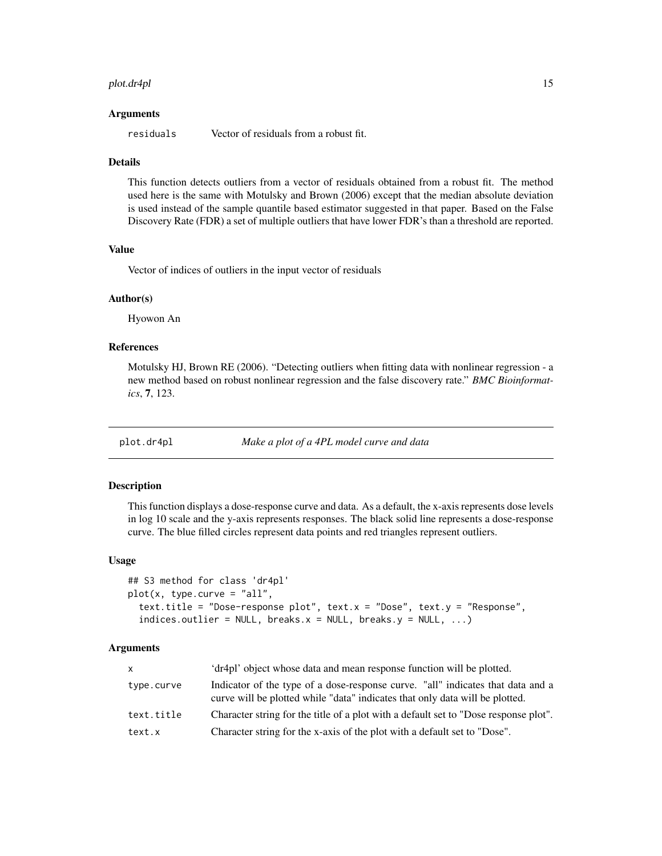#### <span id="page-14-0"></span>plot.dr4pl 15

#### Arguments

residuals Vector of residuals from a robust fit.

#### Details

This function detects outliers from a vector of residuals obtained from a robust fit. The method used here is the same with Motulsky and Brown (2006) except that the median absolute deviation is used instead of the sample quantile based estimator suggested in that paper. Based on the False Discovery Rate (FDR) a set of multiple outliers that have lower FDR's than a threshold are reported.

# Value

Vector of indices of outliers in the input vector of residuals

#### Author(s)

Hyowon An

# References

Motulsky HJ, Brown RE (2006). "Detecting outliers when fitting data with nonlinear regression - a new method based on robust nonlinear regression and the false discovery rate." *BMC Bioinformatics*, 7, 123.

plot.dr4pl *Make a plot of a 4PL model curve and data*

#### Description

This function displays a dose-response curve and data. As a default, the x-axis represents dose levels in log 10 scale and the y-axis represents responses. The black solid line represents a dose-response curve. The blue filled circles represent data points and red triangles represent outliers.

#### Usage

```
## S3 method for class 'dr4pl'
plot(x, type.curve = "all",
  text.title = "Dose-response plot", text.x = "Dose", text.y = "Response",
  indices.outlier = NULL, breaks.x = NULL, breaks.y = NULL, ...)
```

| X          | 'dr4pl' object whose data and mean response function will be plotted.                                                                                           |
|------------|-----------------------------------------------------------------------------------------------------------------------------------------------------------------|
| type.curve | Indicator of the type of a dose-response curve. "all" indicates that data and a<br>curve will be plotted while "data" indicates that only data will be plotted. |
| text.title | Character string for the title of a plot with a default set to "Dose response plot".                                                                            |
| text.x     | Character string for the x-axis of the plot with a default set to "Dose".                                                                                       |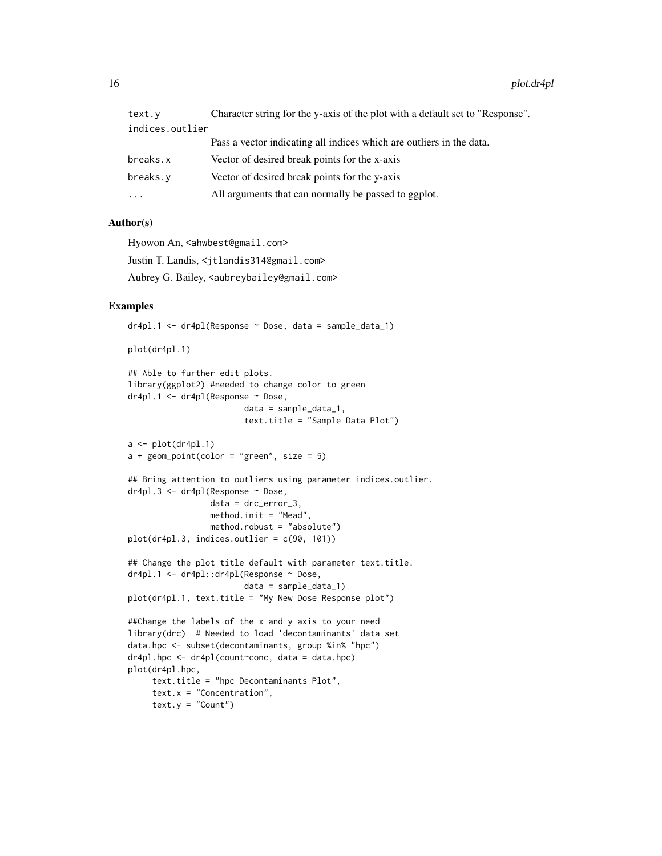| text.y                                                    | Character string for the y-axis of the plot with a default set to "Response". |
|-----------------------------------------------------------|-------------------------------------------------------------------------------|
| indices.outlier                                           |                                                                               |
|                                                           | Pass a vector indicating all indices which are outliers in the data.          |
| breaks.x                                                  | Vector of desired break points for the x-axis                                 |
| Vector of desired break points for the y-axis<br>breaks.v |                                                                               |
| $\ddotsc$                                                 | All arguments that can normally be passed to ggplot.                          |

## Author(s)

Hyowon An, <ahwbest@gmail.com>

Justin T. Landis, <jtlandis314@gmail.com>

Aubrey G. Bailey, <aubreybailey@gmail.com>

# Examples

dr4pl.1 <- dr4pl(Response ~ Dose, data = sample\_data\_1)

plot(dr4pl.1)

```
## Able to further edit plots.
library(ggplot2) #needed to change color to green
dr4pl.1 <- dr4pl(Response ~ Dose,
                        data = sample_data_1,
                        text.title = "Sample Data Plot")
```

```
a \leftarrow plot(dr4pl.1)a + geom\_point(color = "green", size = 5)
```

```
## Bring attention to outliers using parameter indices.outlier.
dr4pl.3 <- dr4pl(Response ~ Dose,
                 data = drc_error_3,
                 method.init = "Mead",
                 method.robust = "absolute")
```

```
plot(dr4pl.3, indices.outlier = c(90, 101))
```

```
## Change the plot title default with parameter text.title.
dr4pl.1 <- dr4pl::dr4pl(Response ~ Dose,
                        data = sample_data_1)
```

```
plot(dr4pl.1, text.title = "My New Dose Response plot")
```

```
##Change the labels of the x and y axis to your need
library(drc) # Needed to load 'decontaminants' data set
data.hpc <- subset(decontaminants, group %in% "hpc")
dr4pl.hpc <- dr4pl(count~conc, data = data.hpc)
plot(dr4pl.hpc,
    text.title = "hpc Decontaminants Plot",
    text.x = "Concentration",text.y = "Count")
```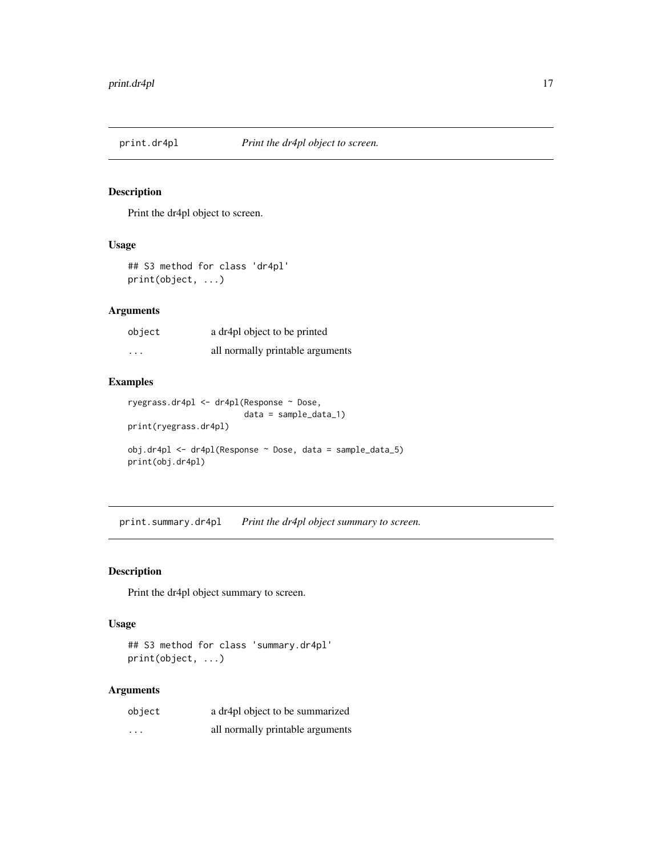<span id="page-16-1"></span><span id="page-16-0"></span>

Print the dr4pl object to screen.

# Usage

## S3 method for class 'dr4pl' print(object, ...)

# Arguments

| object   | a dr4pl object to be printed     |
|----------|----------------------------------|
| $\cdots$ | all normally printable arguments |

# Examples

```
ryegrass.dr4pl <- dr4pl(Response ~ Dose,
                        data = sample_data_1)
print(ryegrass.dr4pl)
obj.dr4pl <- dr4pl(Response ~ Dose, data = sample_data_5)
print(obj.dr4pl)
```
print.summary.dr4pl *Print the dr4pl object summary to screen.*

# Description

Print the dr4pl object summary to screen.

# Usage

## S3 method for class 'summary.dr4pl' print(object, ...)

| object   | a dr4pl object to be summarized  |
|----------|----------------------------------|
| $\cdots$ | all normally printable arguments |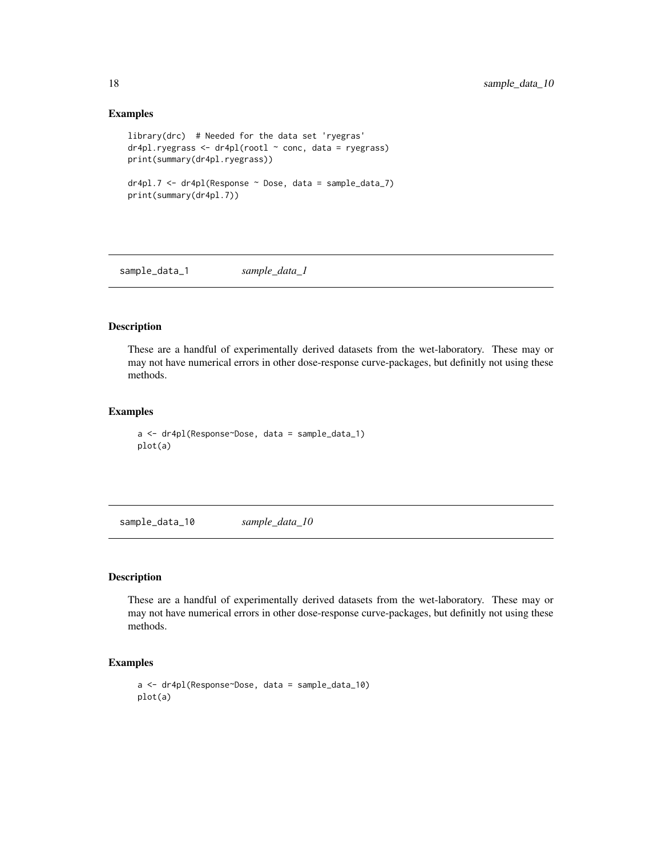# Examples

```
library(drc) # Needed for the data set 'ryegras'
dr4pl.ryegrass <- dr4pl(rootl ~ conc, data = ryegrass)
print(summary(dr4pl.ryegrass))
dr4pl.7 <- dr4pl(Response ~ Dose, data = sample_data_7)
print(summary(dr4pl.7))
```
sample\_data\_1 *sample\_data\_1*

# Description

These are a handful of experimentally derived datasets from the wet-laboratory. These may or may not have numerical errors in other dose-response curve-packages, but definitly not using these methods.

# Examples

```
a <- dr4pl(Response~Dose, data = sample_data_1)
plot(a)
```
sample\_data\_10 *sample\_data\_10*

# Description

These are a handful of experimentally derived datasets from the wet-laboratory. These may or may not have numerical errors in other dose-response curve-packages, but definitly not using these methods.

```
a <- dr4pl(Response~Dose, data = sample_data_10)
plot(a)
```
<span id="page-17-0"></span>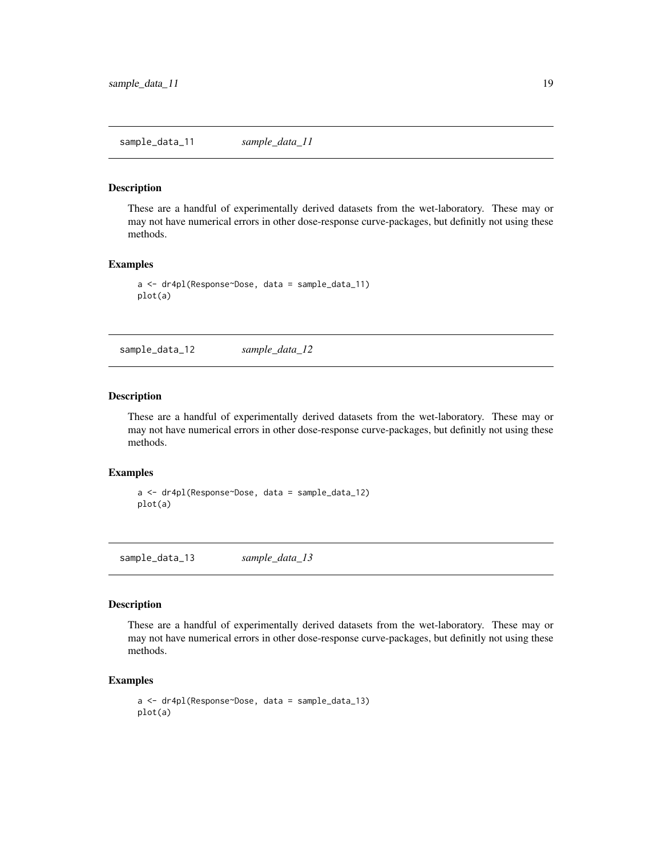<span id="page-18-0"></span>These are a handful of experimentally derived datasets from the wet-laboratory. These may or may not have numerical errors in other dose-response curve-packages, but definitly not using these methods.

# Examples

```
a <- dr4pl(Response~Dose, data = sample_data_11)
plot(a)
```
sample\_data\_12 *sample\_data\_12*

#### Description

These are a handful of experimentally derived datasets from the wet-laboratory. These may or may not have numerical errors in other dose-response curve-packages, but definitly not using these methods.

# Examples

```
a <- dr4pl(Response~Dose, data = sample_data_12)
plot(a)
```
sample\_data\_13 *sample\_data\_13*

#### Description

These are a handful of experimentally derived datasets from the wet-laboratory. These may or may not have numerical errors in other dose-response curve-packages, but definitly not using these methods.

```
a <- dr4pl(Response~Dose, data = sample_data_13)
plot(a)
```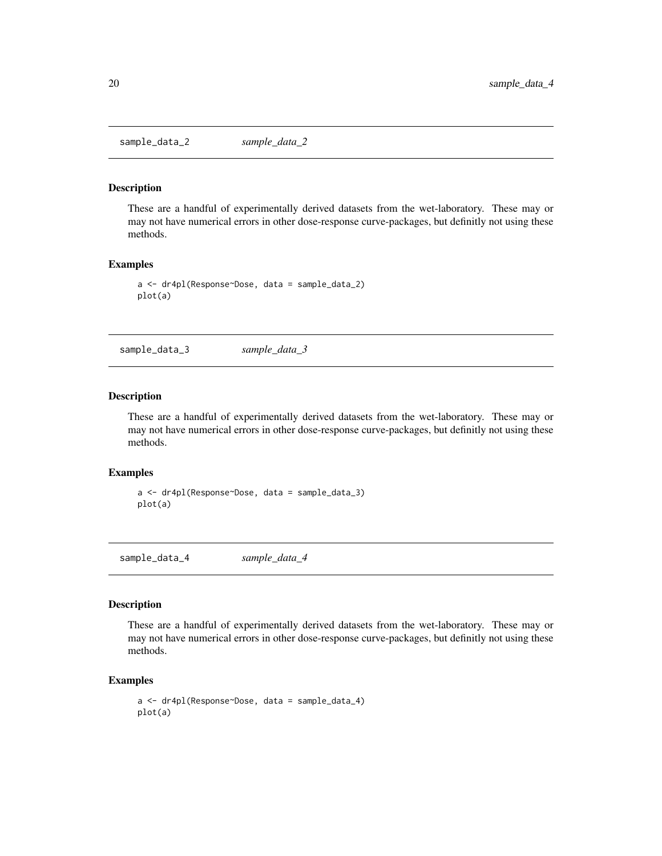<span id="page-19-0"></span>sample\_data\_2 *sample\_data\_2*

#### Description

These are a handful of experimentally derived datasets from the wet-laboratory. These may or may not have numerical errors in other dose-response curve-packages, but definitly not using these methods.

## Examples

```
a <- dr4pl(Response~Dose, data = sample_data_2)
plot(a)
```
sample\_data\_3 *sample\_data\_3*

#### Description

These are a handful of experimentally derived datasets from the wet-laboratory. These may or may not have numerical errors in other dose-response curve-packages, but definitly not using these methods.

# Examples

```
a <- dr4pl(Response~Dose, data = sample_data_3)
plot(a)
```
sample\_data\_4 *sample\_data\_4*

#### Description

These are a handful of experimentally derived datasets from the wet-laboratory. These may or may not have numerical errors in other dose-response curve-packages, but definitly not using these methods.

```
a <- dr4pl(Response~Dose, data = sample_data_4)
plot(a)
```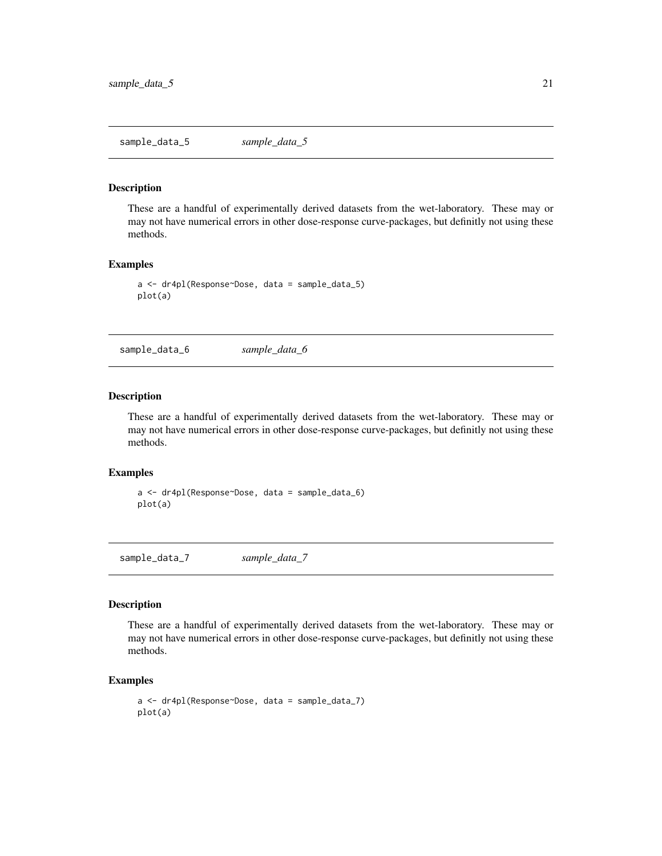<span id="page-20-0"></span>sample\_data\_5 *sample\_data\_5*

#### Description

These are a handful of experimentally derived datasets from the wet-laboratory. These may or may not have numerical errors in other dose-response curve-packages, but definitly not using these methods.

# Examples

```
a <- dr4pl(Response~Dose, data = sample_data_5)
plot(a)
```
sample\_data\_6 *sample\_data\_6*

#### Description

These are a handful of experimentally derived datasets from the wet-laboratory. These may or may not have numerical errors in other dose-response curve-packages, but definitly not using these methods.

# Examples

```
a <- dr4pl(Response~Dose, data = sample_data_6)
plot(a)
```
sample\_data\_7 *sample\_data\_7*

#### Description

These are a handful of experimentally derived datasets from the wet-laboratory. These may or may not have numerical errors in other dose-response curve-packages, but definitly not using these methods.

```
a <- dr4pl(Response~Dose, data = sample_data_7)
plot(a)
```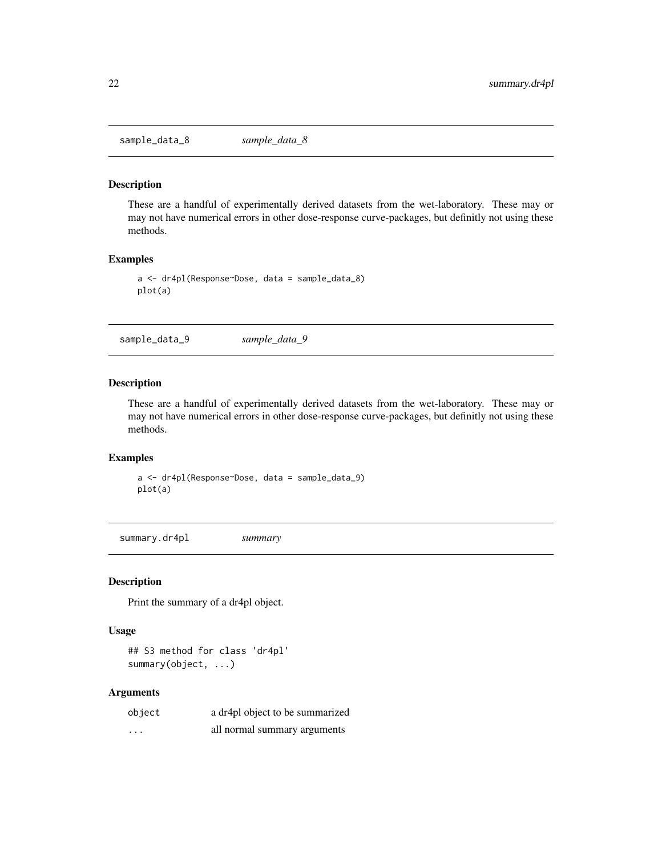<span id="page-21-0"></span>sample\_data\_8 *sample\_data\_8*

# Description

These are a handful of experimentally derived datasets from the wet-laboratory. These may or may not have numerical errors in other dose-response curve-packages, but definitly not using these methods.

#### Examples

```
a <- dr4pl(Response~Dose, data = sample_data_8)
plot(a)
```
sample\_data\_9 *sample\_data\_9*

# Description

These are a handful of experimentally derived datasets from the wet-laboratory. These may or may not have numerical errors in other dose-response curve-packages, but definitly not using these methods.

# Examples

a <- dr4pl(Response~Dose, data = sample\_data\_9) plot(a)

<span id="page-21-1"></span>summary.dr4pl *summary*

#### Description

Print the summary of a dr4pl object.

#### Usage

## S3 method for class 'dr4pl' summary(object, ...)

| object | a dr4pl object to be summarized |
|--------|---------------------------------|
| .      | all normal summary arguments    |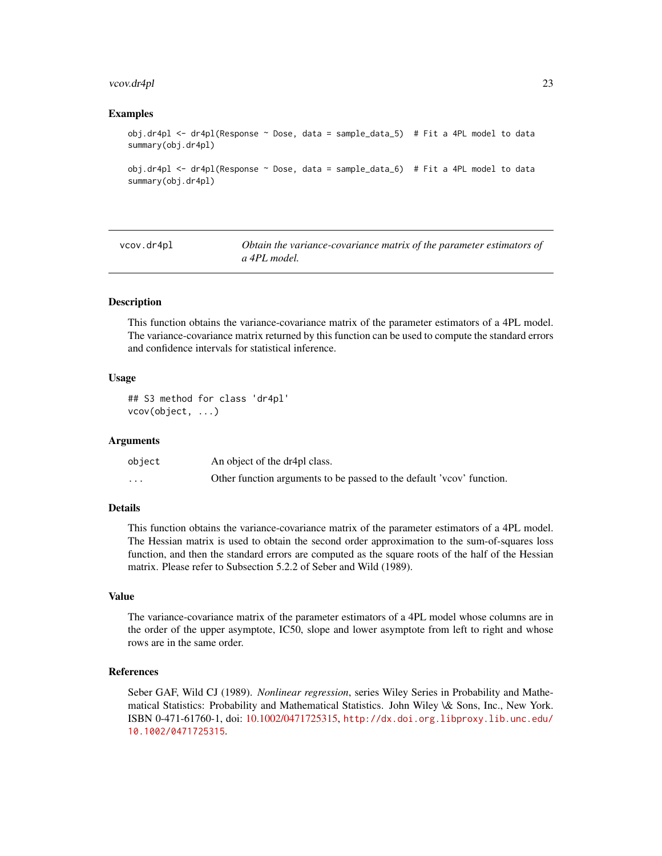#### <span id="page-22-0"></span>vcov.dr4pl 23

#### Examples

```
obj.dr4pl <- dr4pl(Response ~ Dose, data = sample_data_5) # Fit a 4PL model to data
summary(obj.dr4pl)
obj.dr4pl <- dr4pl(Response ~ Dose, data = sample_data_6) # Fit a 4PL model to data
summary(obj.dr4pl)
```
vcov.dr4pl *Obtain the variance-covariance matrix of the parameter estimators of a 4PL model.*

#### Description

This function obtains the variance-covariance matrix of the parameter estimators of a 4PL model. The variance-covariance matrix returned by this function can be used to compute the standard errors and confidence intervals for statistical inference.

# Usage

```
## S3 method for class 'dr4pl'
vcov(object, ...)
```
#### Arguments

| object   | An object of the dr4pl class.                                         |
|----------|-----------------------------------------------------------------------|
| $\cdots$ | Other function arguments to be passed to the default 'vcov' function. |

# Details

This function obtains the variance-covariance matrix of the parameter estimators of a 4PL model. The Hessian matrix is used to obtain the second order approximation to the sum-of-squares loss function, and then the standard errors are computed as the square roots of the half of the Hessian matrix. Please refer to Subsection 5.2.2 of Seber and Wild (1989).

#### Value

The variance-covariance matrix of the parameter estimators of a 4PL model whose columns are in the order of the upper asymptote, IC50, slope and lower asymptote from left to right and whose rows are in the same order.

# References

Seber GAF, Wild CJ (1989). *Nonlinear regression*, series Wiley Series in Probability and Mathematical Statistics: Probability and Mathematical Statistics. John Wiley \& Sons, Inc., New York. ISBN 0-471-61760-1, doi: [10.1002/0471725315,](http://doi.org/10.1002/0471725315) [http://dx.doi.org.libproxy.lib.unc.edu/](http://dx.doi.org.libproxy.lib.unc.edu/10.1002/0471725315) [10.1002/0471725315](http://dx.doi.org.libproxy.lib.unc.edu/10.1002/0471725315).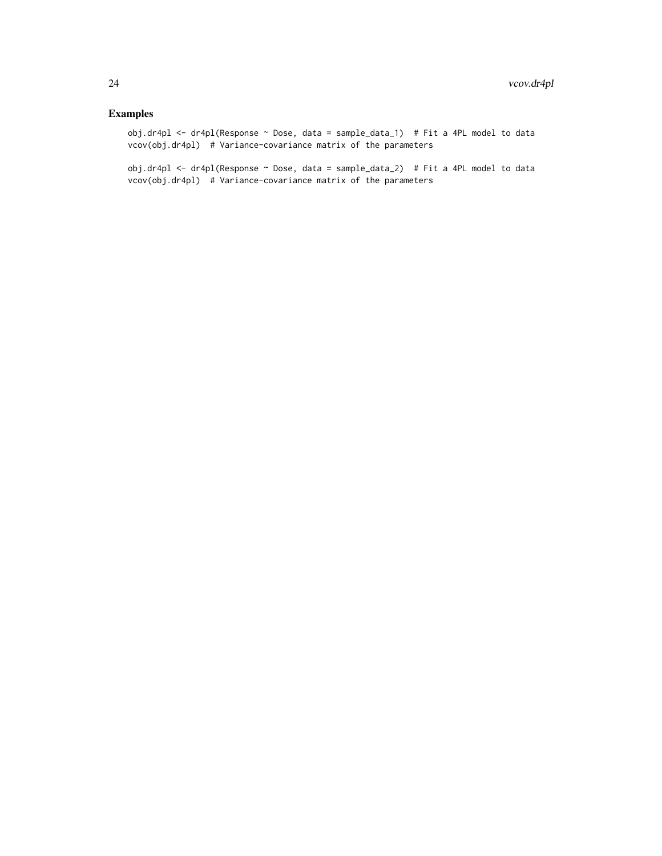# Examples

obj.dr4pl <- dr4pl(Response ~ Dose, data = sample\_data\_1) # Fit a 4PL model to data vcov(obj.dr4pl) # Variance-covariance matrix of the parameters

obj.dr4pl <- dr4pl(Response ~ Dose, data = sample\_data\_2) # Fit a 4PL model to data vcov(obj.dr4pl) # Variance-covariance matrix of the parameters